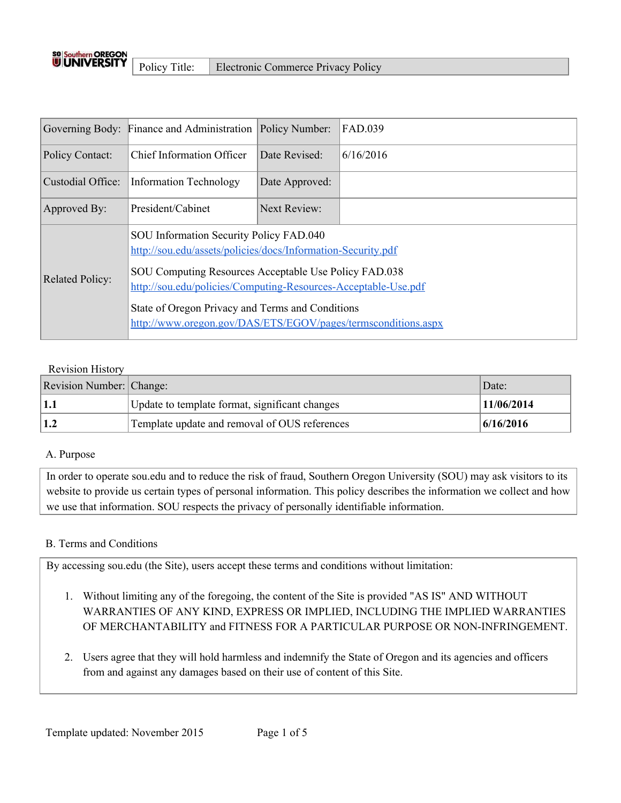

|                        | Governing Body: Finance and Administration                                                                                                                                                                                                                                                                                                              | Policy Number: | FAD.039   |
|------------------------|---------------------------------------------------------------------------------------------------------------------------------------------------------------------------------------------------------------------------------------------------------------------------------------------------------------------------------------------------------|----------------|-----------|
| Policy Contact:        | <b>Chief Information Officer</b>                                                                                                                                                                                                                                                                                                                        | Date Revised:  | 6/16/2016 |
| Custodial Office:      | <b>Information Technology</b>                                                                                                                                                                                                                                                                                                                           | Date Approved: |           |
| Approved By:           | President/Cabinet                                                                                                                                                                                                                                                                                                                                       | Next Review:   |           |
| <b>Related Policy:</b> | SOU Information Security Policy FAD.040<br>http://sou.edu/assets/policies/docs/Information-Security.pdf<br>SOU Computing Resources Acceptable Use Policy FAD.038<br>http://sou.edu/policies/Computing-Resources-Acceptable-Use.pdf<br>State of Oregon Privacy and Terms and Conditions<br>http://www.oregon.gov/DAS/ETS/EGOV/pages/termsconditions.aspx |                |           |

#### Revision History

| <b>Revision Number:</b> Change: |                                                | Date:      |
|---------------------------------|------------------------------------------------|------------|
| $\vert$ 1.1                     | Update to template format, significant changes | 11/06/2014 |
| $\vert$ 1.2                     | Template update and removal of OUS references  | 6/16/2016  |

#### A. Purpose

In order to operate sou.edu and to reduce the risk of fraud, Southern Oregon University (SOU) may ask visitors to its website to provide us certain types of personal information. This policy describes the information we collect and how we use that information. SOU respects the privacy of personally identifiable information.

### B. Terms and Conditions

By accessing sou.edu (the Site), users accept these terms and conditions without limitation:

- 1. Without limiting any of the foregoing, the content of the Site is provided "AS IS" AND WITHOUT WARRANTIES OF ANY KIND, EXPRESS OR IMPLIED, INCLUDING THE IMPLIED WARRANTIES OF MERCHANTABILITY and FITNESS FOR A PARTICULAR PURPOSE OR NON-INFRINGEMENT.
- 2. Users agree that they will hold harmless and indemnify the State of Oregon and its agencies and officers from and against any damages based on their use of content of this Site.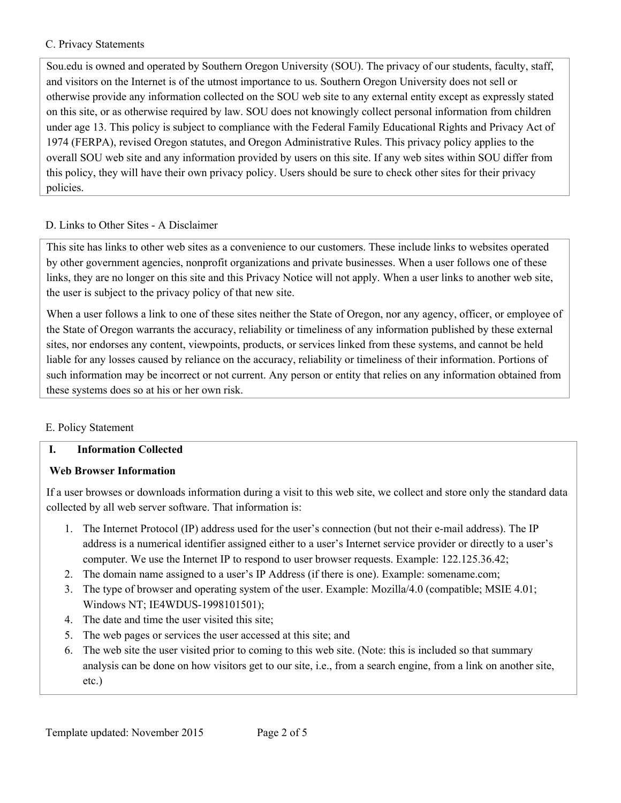### C. Privacy Statements

Sou.edu is owned and operated by Southern Oregon University (SOU). The privacy of our students, faculty, staff, and visitors on the Internet is of the utmost importance to us. Southern Oregon University does not sell or otherwise provide any information collected on the SOU web site to any external entity except as expressly stated on this site, or as otherwise required by law. SOU does not knowingly collect personal information from children under age 13. This policy is subject to compliance with the Federal Family Educational Rights and Privacy Act of 1974 (FERPA), revised Oregon statutes, and Oregon Administrative Rules. This privacy policy applies to the overall SOU web site and any information provided by users on this site. If any web sites within SOU differ from this policy, they will have their own privacy policy. Users should be sure to check other sites for their privacy policies.

### D. Links to Other Sites - A Disclaimer

This site has links to other web sites as a convenience to our customers. These include links to websites operated by other government agencies, nonprofit organizations and private businesses. When a user follows one of these links, they are no longer on this site and this Privacy Notice will not apply. When a user links to another web site, the user is subject to the privacy policy of that new site.

When a user follows a link to one of these sites neither the State of Oregon, nor any agency, officer, or employee of the State of Oregon warrants the accuracy, reliability or timeliness of any information published by these external sites, nor endorses any content, viewpoints, products, or services linked from these systems, and cannot be held liable for any losses caused by reliance on the accuracy, reliability or timeliness of their information. Portions of such information may be incorrect or not current. Any person or entity that relies on any information obtained from these systems does so at his or her own risk.

### E. Policy Statement

### **I. Information Collected**

### **Web Browser Information**

If a user browses or downloads information during a visit to this web site, we collect and store only the standard data collected by all web server software. That information is:

- 1. The Internet Protocol (IP) address used for the user's connection (but not their e-mail address). The IP address is a numerical identifier assigned either to a user's Internet service provider or directly to a user's computer. We use the Internet IP to respond to user browser requests. Example: 122.125.36.42;
- 2. The domain name assigned to a user's IP Address (if there is one). Example: somename.com;
- 3. The type of browser and operating system of the user. Example: Mozilla/4.0 (compatible; MSIE 4.01; Windows NT; IE4WDUS-1998101501);
- 4. The date and time the user visited this site;
- 5. The web pages or services the user accessed at this site; and
- 6. The web site the user visited prior to coming to this web site. (Note: this is included so that summary analysis can be done on how visitors get to our site, i.e., from a search engine, from a link on another site, etc.)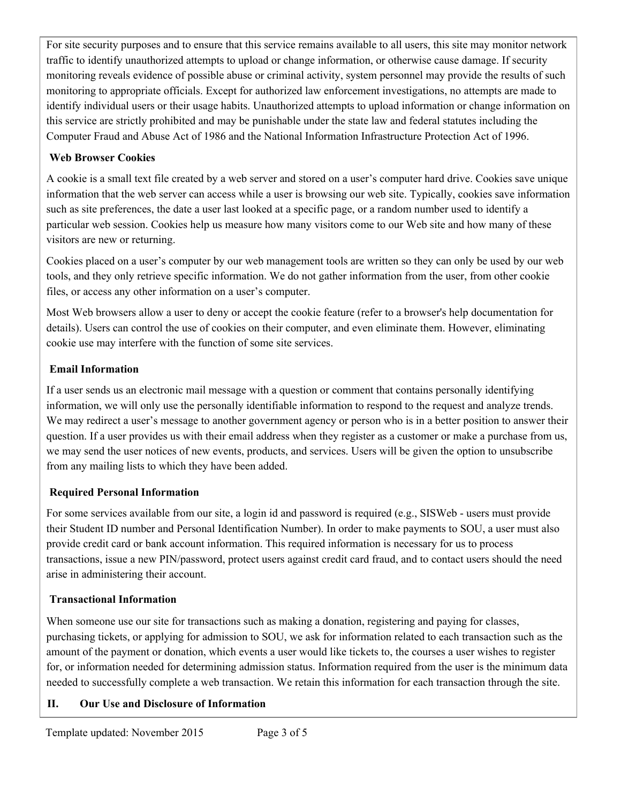For site security purposes and to ensure that this service remains available to all users, this site may monitor network traffic to identify unauthorized attempts to upload or change information, or otherwise cause damage. If security monitoring reveals evidence of possible abuse or criminal activity, system personnel may provide the results of such monitoring to appropriate officials. Except for authorized law enforcement investigations, no attempts are made to identify individual users or their usage habits. Unauthorized attempts to upload information or change information on this service are strictly prohibited and may be punishable under the state law and federal statutes including the Computer Fraud and Abuse Act of 1986 and the National Information Infrastructure Protection Act of 1996.

# **Web Browser Cookies**

A cookie is a small text file created by a web server and stored on a user's computer hard drive. Cookies save unique information that the web server can access while a user is browsing our web site. Typically, cookies save information such as site preferences, the date a user last looked at a specific page, or a random number used to identify a particular web session. Cookies help us measure how many visitors come to our Web site and how many of these visitors are new or returning.

Cookies placed on a user's computer by our web management tools are written so they can only be used by our web tools, and they only retrieve specific information. We do not gather information from the user, from other cookie files, or access any other information on a user's computer.

Most Web browsers allow a user to deny or accept the cookie feature (refer to a browser's help documentation for details). Users can control the use of cookies on their computer, and even eliminate them. However, eliminating cookie use may interfere with the function of some site services.

# **Email Information**

If a user sends us an electronic mail message with a question or comment that contains personally identifying information, we will only use the personally identifiable information to respond to the request and analyze trends. We may redirect a user's message to another government agency or person who is in a better position to answer their question. If a user provides us with their email address when they register as a customer or make a purchase from us, we may send the user notices of new events, products, and services. Users will be given the option to unsubscribe from any mailing lists to which they have been added.

# **Required Personal Information**

For some services available from our site, a login id and password is required (e.g., SISWeb - users must provide their Student ID number and Personal Identification Number). In order to make payments to SOU, a user must also provide credit card or bank account information. This required information is necessary for us to process transactions, issue a new PIN/password, protect users against credit card fraud, and to contact users should the need arise in administering their account.

# **Transactional Information**

When someone use our site for transactions such as making a donation, registering and paying for classes, purchasing tickets, or applying for admission to SOU, we ask for information related to each transaction such as the amount of the payment or donation, which events a user would like tickets to, the courses a user wishes to register for, or information needed for determining admission status. Information required from the user is the minimum data needed to successfully complete a web transaction. We retain this information for each transaction through the site.

## **II. Our Use and Disclosure of Information**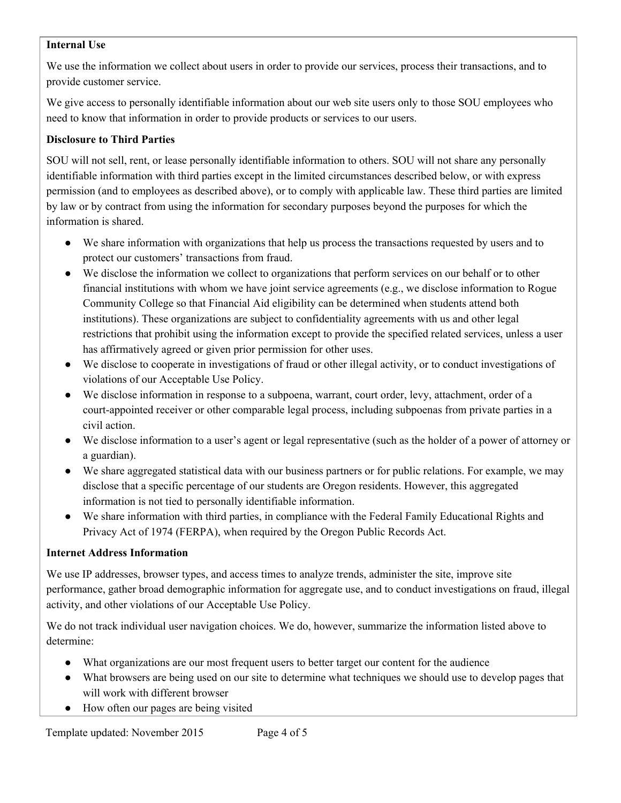## **Internal Use**

We use the information we collect about users in order to provide our services, process their transactions, and to provide customer service.

We give access to personally identifiable information about our web site users only to those SOU employees who need to know that information in order to provide products or services to our users.

### **Disclosure to Third Parties**

SOU will not sell, rent, or lease personally identifiable information to others. SOU will not share any personally identifiable information with third parties except in the limited circumstances described below, or with express permission (and to employees as described above), or to comply with applicable law. These third parties are limited by law or by contract from using the information for secondary purposes beyond the purposes for which the information is shared.

- We share information with organizations that help us process the transactions requested by users and to protect our customers' transactions from fraud.
- We disclose the information we collect to organizations that perform services on our behalf or to other financial institutions with whom we have joint service agreements (e.g., we disclose information to Rogue Community College so that Financial Aid eligibility can be determined when students attend both institutions). These organizations are subject to confidentiality agreements with us and other legal restrictions that prohibit using the information except to provide the specified related services, unless a user has affirmatively agreed or given prior permission for other uses.
- We disclose to cooperate in investigations of fraud or other illegal activity, or to conduct investigations of violations of our Acceptable Use Policy.
- We disclose information in response to a subpoena, warrant, court order, levy, attachment, order of a court-appointed receiver or other comparable legal process, including subpoenas from private parties in a civil action.
- We disclose information to a user's agent or legal representative (such as the holder of a power of attorney or a guardian).
- We share aggregated statistical data with our business partners or for public relations. For example, we may disclose that a specific percentage of our students are Oregon residents. However, this aggregated information is not tied to personally identifiable information.
- We share information with third parties, in compliance with the Federal Family Educational Rights and Privacy Act of 1974 (FERPA), when required by the Oregon Public Records Act.

### **Internet Address Information**

We use IP addresses, browser types, and access times to analyze trends, administer the site, improve site performance, gather broad demographic information for aggregate use, and to conduct investigations on fraud, illegal activity, and other violations of our Acceptable Use Policy.

We do not track individual user navigation choices. We do, however, summarize the information listed above to determine:

- What organizations are our most frequent users to better target our content for the audience
- What browsers are being used on our site to determine what techniques we should use to develop pages that will work with different browser
- How often our pages are being visited